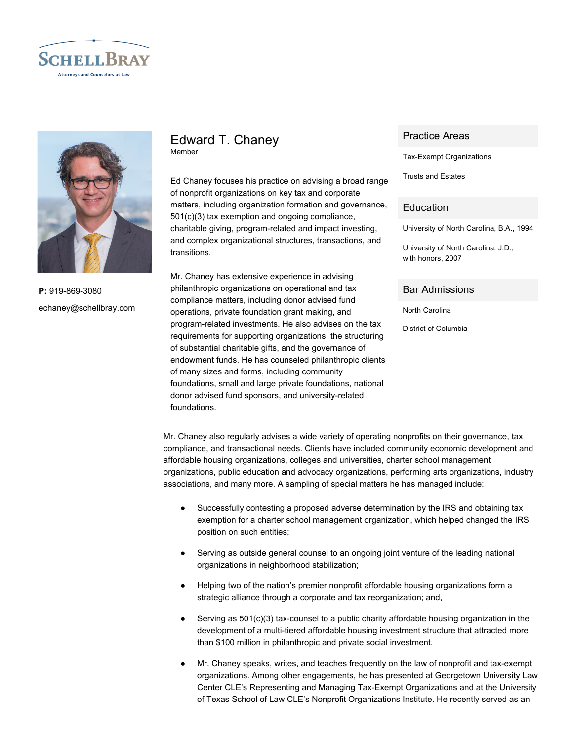



**P:** 919-869-3080 echaney@schellbray.com

# Edward T. Chaney Member

Ed Chaney focuses his practice on advising a broad range of nonprofit organizations on key tax and corporate matters, including organization formation and governance, 501(c)(3) tax exemption and ongoing compliance, charitable giving, program-related and impact investing, and complex organizational structures, transactions, and transitions.

Mr. Chaney has extensive experience in advising philanthropic organizations on operational and tax compliance matters, including donor advised fund operations, private foundation grant making, and program-related investments. He also advises on the tax requirements for supporting organizations, the structuring of substantial charitable gifts, and the governance of endowment funds. He has counseled philanthropic clients of many sizes and forms, including community foundations, small and large private foundations, national donor advised fund sponsors, and university-related foundations.

### Practice Areas

Tax-Exempt Organizations

Trusts and Estates

### **Education**

University of North Carolina, B.A., 1994

University of North Carolina, J.D., with honors, 2007

### Bar Admissions

North Carolina

District of Columbia

Mr. Chaney also regularly advises a wide variety of operating nonprofits on their governance, tax compliance, and transactional needs. Clients have included community economic development and affordable housing organizations, colleges and universities, charter school management organizations, public education and advocacy organizations, performing arts organizations, industry associations, and many more. A sampling of special matters he has managed include:

- Successfully contesting a proposed adverse determination by the IRS and obtaining tax exemption for a charter school management organization, which helped changed the IRS position on such entities;
- Serving as outside general counsel to an ongoing joint venture of the leading national organizations in neighborhood stabilization;
- Helping two of the nation's premier nonprofit affordable housing organizations form a strategic alliance through a corporate and tax reorganization; and,
- **•** Serving as  $501(c)(3)$  tax-counsel to a public charity affordable housing organization in the development of a multi-tiered affordable housing investment structure that attracted more than \$100 million in philanthropic and private social investment.
- Mr. Chaney speaks, writes, and teaches frequently on the law of nonprofit and tax-exempt organizations. Among other engagements, he has presented at Georgetown University Law Center CLE's Representing and Managing Tax-Exempt Organizations and at the University of Texas School of Law CLE's Nonprofit Organizations Institute. He recently served as an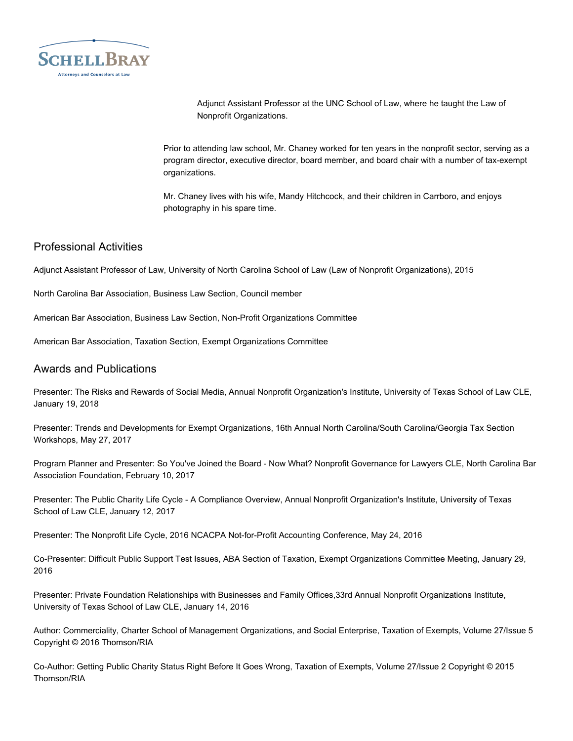

Adjunct Assistant Professor at the UNC School of Law, where he taught the Law of Nonprofit Organizations.

Prior to attending law school, Mr. Chaney worked for ten years in the nonprofit sector, serving as a program director, executive director, board member, and board chair with a number of tax-exempt organizations.

Mr. Chaney lives with his wife, Mandy Hitchcock, and their children in Carrboro, and enjoys photography in his spare time.

# Professional Activities

Adjunct Assistant Professor of Law, University of North Carolina School of Law (Law of Nonprofit Organizations), 2015

North Carolina Bar Association, Business Law Section, Council member

American Bar Association, Business Law Section, Non-Profit Organizations Committee

American Bar Association, Taxation Section, Exempt Organizations Committee

## Awards and Publications

Presenter: The Risks and Rewards of Social Media, Annual Nonprofit Organization's Institute, University of Texas School of Law CLE, January 19, 2018

Presenter: Trends and Developments for Exempt Organizations, 16th Annual North Carolina/South Carolina/Georgia Tax Section Workshops, May 27, 2017

Program Planner and Presenter: So You've Joined the Board - Now What? Nonprofit Governance for Lawyers CLE, North Carolina Bar Association Foundation, February 10, 2017

Presenter: The Public Charity Life Cycle - A Compliance Overview, Annual Nonprofit Organization's Institute, University of Texas School of Law CLE, January 12, 2017

Presenter: The Nonprofit Life Cycle, 2016 NCACPA Not-for-Profit Accounting Conference, May 24, 2016

Co-Presenter: Difficult Public Support Test Issues, ABA Section of Taxation, Exempt Organizations Committee Meeting, January 29, 2016

Presenter: Private Foundation Relationships with Businesses and Family Offices,33rd Annual Nonprofit Organizations Institute, University of Texas School of Law CLE, January 14, 2016

Author: Commerciality, Charter School of Management Organizations, and Social Enterprise, Taxation of Exempts, Volume 27/Issue 5 Copyright © 2016 Thomson/RIA

Co-Author: Getting Public Charity Status Right Before It Goes Wrong, Taxation of Exempts, Volume 27/Issue 2 Copyright © 2015 Thomson/RIA